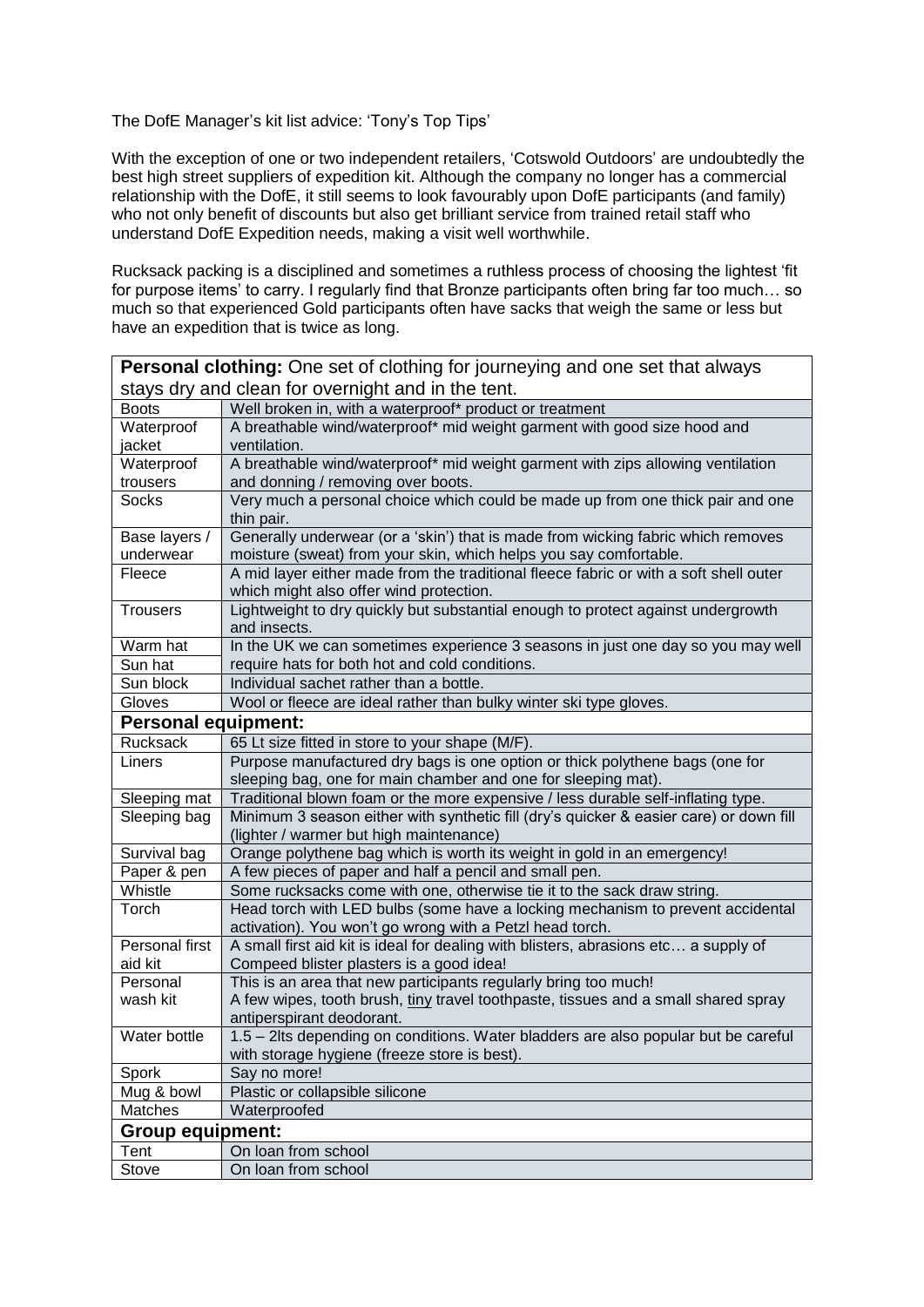## The DofE Manager's kit list advice: 'Tony's Top Tips'

With the exception of one or two independent retailers, 'Cotswold Outdoors' are undoubtedly the best high street suppliers of expedition kit. Although the company no longer has a commercial relationship with the DofE, it still seems to look favourably upon DofE participants (and family) who not only benefit of discounts but also get brilliant service from trained retail staff who understand DofE Expedition needs, making a visit well worthwhile.

Rucksack packing is a disciplined and sometimes a ruthless process of choosing the lightest 'fit for purpose items' to carry. I regularly find that Bronze participants often bring far too much… so much so that experienced Gold participants often have sacks that weigh the same or less but have an expedition that is twice as long.